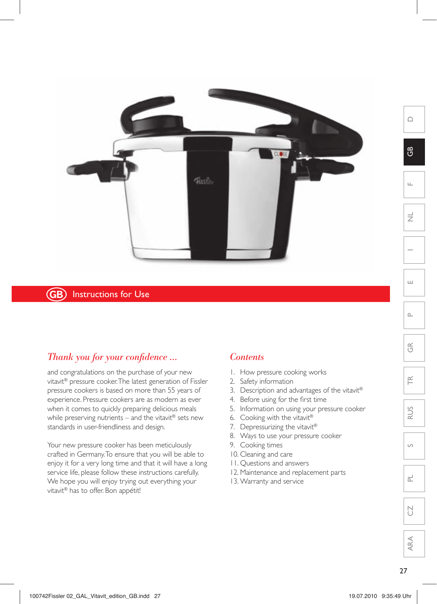

## **GB**) Instructions for Use

## *Thank you for your confidence ...*

and congratulations on the purchase of your new vitavit® pressure cooker. The latest generation of Fissler pressure cookers is based on more than 55 years of experience. Pressure cookers are as modern as ever when it comes to quickly preparing delicious meals while preserving nutrients – and the vitavit® sets new standards in user-friendliness and design.

Your new pressure cooker has been meticulously crafted in Germany. To ensure that you will be able to enjoy it for a very long time and that it will have a long service life, please follow these instructions carefully. We hope you will enjoy trying out everything your vitavit® has to offer. Bon appétit!

## *Contents*

- 1. How pressure cooking works
- 2. Safety information
- 3. Description and advantages of the vitavit®
- 4. Before using for the first time
- 5. Information on using your pressure cooker
- 6. Cooking with the vitavit®
- 7. Depressurizing the vitavit®
- 8. Ways to use your pressure cooker
- 9. Cooking times
- 10. Cleaning and care
- 11. Questions and answers
- 12. Maintenance and replacement parts
- 13. Warranty and service

 $\overline{z}$ 

D

 $\mathfrak{g}$ 

F

 $\sim$ 

E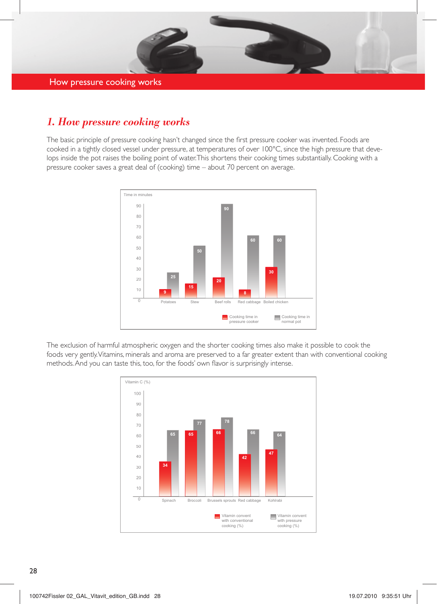

# *1. How pressure cooking works*

The basic principle of pressure cooking hasn't changed since the first pressure cooker was invented. Foods are cooked in a tightly closed vessel under pressure, at temperatures of over 100°C, since the high pressure that develops inside the pot raises the boiling point of water. This shortens their cooking times substantially. Cooking with a pressure cooker saves a great deal of (cooking) time – about 70 percent on average.



The exclusion of harmful atmospheric oxygen and the shorter cooking times also make it possible to cook the methods. And you can taste this, too, for the foods' own flavor is surprisingly intense. foods very gently. Vitamins, minerals and aroma are preserved to a far greater extent than with conventional cooking

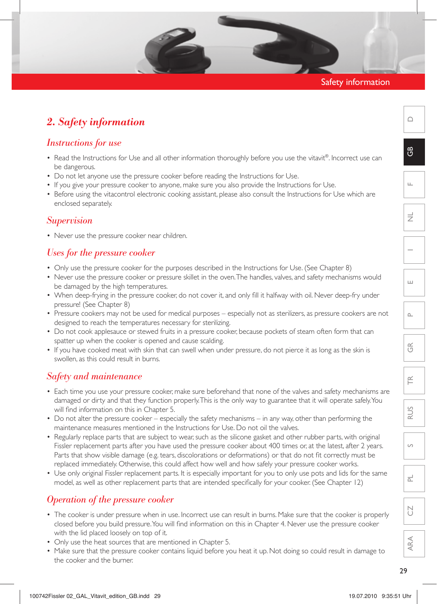## Safety information

## *2. Safety information*

## *Instructions for use*

- Read the Instructions for Use and all other information thoroughly before you use the vitavit®. Incorrect use can be dangerous.
- Do not let anyone use the pressure cooker before reading the Instructions for Use.
- If you give your pressure cooker to anyone, make sure you also provide the Instructions for Use.
- Before using the vitacontrol electronic cooking assistant, please also consult the Instructions for Use which are enclosed separately.

## *Supervision*

• Never use the pressure cooker near children.

## *Uses for the pressure cooker*

- • Only use the pressure cooker for the purposes described in the Instructions for Use. (See Chapter 8)
- • Never use the pressure cooker or pressure skillet in the oven.The handles, valves, and safety mechanisms would be damaged by the high temperatures.
- • When deep-frying in the pressure cooker, do not cover it, and only fill it halfway with oil. Never deep-fry under pressure! (See Chapter 8)
- • Pressure cookers may not be used for medical purposes especially not as sterilizers, as pressure cookers are not designed to reach the temperatures necessary for sterilizing.
- Do not cook applesauce or stewed fruits in a pressure cooker, because pockets of steam often form that can spatter up when the cooker is opened and cause scalding.
- If you have cooked meat with skin that can swell when under pressure, do not pierce it as long as the skin is swollen, as this could result in burns.

## *Safety and maintenance*

- Each time you use your pressure cooker, make sure beforehand that none of the valves and safety mechanisms are damaged or dirty and that they function properly. This is the only way to guarantee that it will operate safely. You will find information on this in Chapter 5.
- Do not alter the pressure cooker especially the safety mechanisms in any way, other than performing the maintenance measures mentioned in the Instructions for Use. Do not oil the valves.
- Regularly replace parts that are subject to wear, such as the silicone gasket and other rubber parts, with original Fissler replacement parts after you have used the pressure cooker about 400 times or, at the latest, after 2 years. Parts that show visible damage (e.g. tears, discolorations or deformations) or that do not fit correctly must be replaced immediately. Otherwise, this could affect how well and how safely your pressure cooker works.
- Use only original Fissler replacement parts. It is especially important for you to only use pots and lids for the same model, as well as other replacement parts that are intended specifically for your cooker. (See Chapter 12)

## *Operation of the pressure cooker*

- The cooker is under pressure when in use. Incorrect use can result in burns. Make sure that the cooker is properly closed before you build pressure.You will find information on this in Chapter 4. Never use the pressure cooker with the lid placed loosely on top of it.
- Only use the heat sources that are mentioned in Chapter 5.
- Make sure that the pressure cooker contains liquid before you heat it up. Not doing so could result in damage to the cooker and the burner.

 $\cap$ 

 $\mathfrak{g}$ 

 $\widetilde{\equiv}$ 

RUS

 $\overline{S}$ 

PL

CZ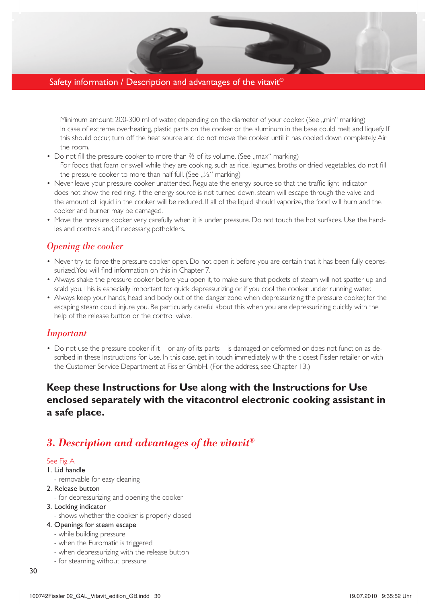## Safety information / Description and advantages of the vitavit<sup>®</sup>

Minimum amount: 200-300 ml of water, depending on the diameter of your cooker. (See ..min" marking) In case of extreme overheating, plastic parts on the cooker or the aluminum in the base could melt and liquefy. If this should occur, turn off the heat source and do not move the cooker until it has cooled down completely. Air the room.

- Do not fill the pressure cooker to more than <sup>3</sup>⁄3 of its volume. (See ..max" marking) For foods that foam or swell while they are cooking, such as rice, legumes, broths or dried vegetables, do not fill the pressure cooker to more than half full. (See  $\frac{1}{2}$ " marking)
- • Never leave your pressure cooker unattended. Regulate the energy source so that the traffic light indicator does not show the red ring. If the energy source is not turned down, steam will escape through the valve and the amount of liquid in the cooker will be reduced. If all of the liquid should vaporize, the food will burn and the cooker and burner may be damaged.
- • Move the pressure cooker very carefully when it is under pressure. Do not touch the hot surfaces. Use the handles and controls and, if necessary, potholders.

## *Opening the cooker*

- Never try to force the pressure cooker open. Do not open it before you are certain that it has been fully depressurized. You will find information on this in Chapter 7.
- • Always shake the pressure cooker before you open it, to make sure that pockets of steam will not spatter up and scald you. This is especially important for quick depressurizing or if you cool the cooker under running water.
- • Always keep your hands, head and body out of the danger zone when depressurizing the pressure cooker, for the escaping steam could injure you. Be particularly careful about this when you are depressurizing quickly with the help of the release button or the control valve.

## *Important*

• Do not use the pressure cooker if it – or any of its parts – is damaged or deformed or does not function as described in these Instructions for Use. In this case, get in touch immediately with the closest Fissler retailer or with the Customer Service Department at Fissler GmbH. (For the address, see Chapter 13.)

## **Keep these Instructions for Use along with the Instructions for Use enclosed separately with the vitacontrol electronic cooking assistant in a safe place.**

## *3. Description and advantages of the vitavit®*

#### See Fig. A

#### 1. Lid handle

- removable for easy cleaning
- 2. Release button
	- for depressurizing and opening the cooker

#### 3. Locking indicator

- shows whether the cooker is properly closed

## 4. Openings for steam escape

- while building pressure
- when the Euromatic is triggered
- when depressurizing with the release button
- for steaming without pressure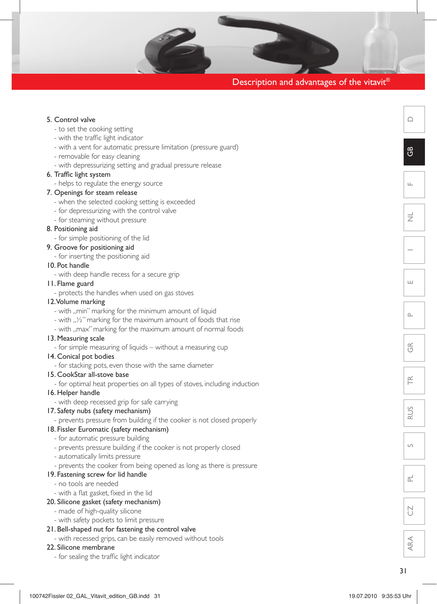|  | Description and advantages of the vitavit® |  |
|--|--------------------------------------------|--|
|  |                                            |  |

| 5. Control valve                                                          |
|---------------------------------------------------------------------------|
| - to set the cooking setting                                              |
| - with the traffic light indicator                                        |
| - with a vent for automatic pressure limitation (pressure guard)          |
| - removable for easy cleaning                                             |
| - with depressurizing setting and gradual pressure release                |
| 6. Traffic light system                                                   |
| - helps to regulate the energy source                                     |
| 7. Openings for steam release                                             |
| - when the selected cooking setting is exceeded                           |
| - for depressurizing with the control valve                               |
| - for steaming without pressure                                           |
| 8. Positioning aid                                                        |
| - for simple positioning of the lid                                       |
| 9. Groove for positioning aid                                             |
| - for inserting the positioning aid                                       |
| 10. Pot handle                                                            |
| - with deep handle recess for a secure grip                               |
| 11. Flame guard                                                           |
| - protects the handles when used on gas stoves                            |
| 12. Volume marking                                                        |
| - with "min" marking for the minimum amount of liquid                     |
| - with $\frac{1}{2}$ marking for the maximum amount of foods that rise    |
| - with "max" marking for the maximum amount of normal foods               |
| 13. Measuring scale                                                       |
| - for simple measuring of liquids – without a measuring cup               |
| 14. Conical pot bodies                                                    |
| - for stacking pots, even those with the same diameter                    |
| 15. CookStar all-stove base                                               |
| - for optimal heat properties on all types of stoves, including induction |
| 16. Helper handle                                                         |
| - with deep recessed grip for safe carrying                               |
| 17. Safety nubs (safety mechanism)                                        |
| - prevents pressure from building if the cooker is not closed properly    |
| 18. Fissler Euromatic (safety mechanism)                                  |
| - for automatic pressure building                                         |
| - prevents pressure building if the cooker is not properly closed         |
| - automatically limits pressure                                           |
| - prevents the cooker from being opened as long as there is pressure      |
| 19. Fastening screw for lid handle                                        |
| - no tools are needed                                                     |
| - with a flat gasket, fixed in the lid                                    |
| 20. Silicone gasket (safety mechanism)                                    |
| - made of high-quality silicone                                           |

- with safety pockets to limit pressure 21. Bell-shaped nut for fastening the control valve
	- with recessed grips, can be easily removed without tools

## 22. Silicone membrane

- for sealing the traffic light indicator

 $\triangle$ 

GB

 $\mathbf{r}$ 

 $\equiv$ 

 $\overline{\phantom{0}}$ 

 $\overline{\Xi}$ 

 $\mathbf{r}$ 

 $\widetilde{\mathbb{G}}$ 

 $\widetilde{\mathsf{F}}$ 

RUS

S

 $\overline{\mathbb{L}}$ 

 $\overline{C}$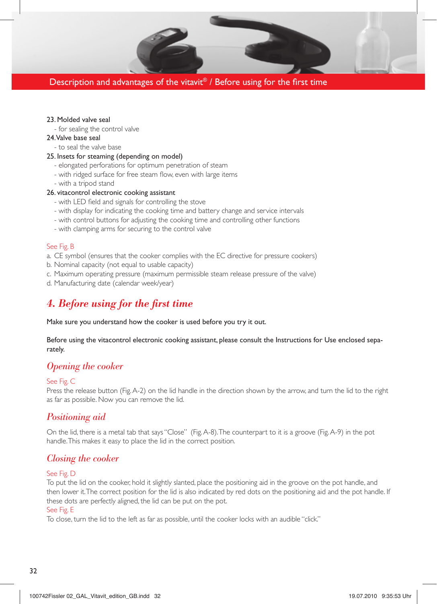## Description and advantages of the vitavit® / Before using for the first time

#### 23. Molded valve seal

- for sealing the control valve

#### 24. Valve base seal

- to seal the valve base
- 25. Insets for steaming (depending on model)
	- elongated perforations for optimum penetration of steam
	- with ridged surface for free steam flow, even with large items
	- with a tripod stand

#### 26. vitacontrol electronic cooking assistant

- with LED field and signals for controlling the stove
- with display for indicating the cooking time and battery change and service intervals
- with control buttons for adjusting the cooking time and controlling other functions
- with clamping arms for securing to the control valve

#### See Fig. B

- a. CE symbol (ensures that the cooker complies with the EC directive for pressure cookers)
- b. Nominal capacity (not equal to usable capacity)
- c. Maximum operating pressure (maximum permissible steam release pressure of the valve)
- d. Manufacturing date (calendar week/year)

## *4. Before using for the first time*

Make sure you understand how the cooker is used before you try it out.

Before using the vitacontrol electronic cooking assistant, please consult the Instructions for Use enclosed separately.

## *Opening the cooker*

#### See Fig. C

Press the release button (Fig. A-2) on the lid handle in the direction shown by the arrow, and turn the lid to the right as far as possible. Now you can remove the lid.

## *Positioning aid*

On the lid, there is a metal tab that says"Close" (Fig.A-8).The counterpart to it is a groove (Fig.A-9) in the pot handle. This makes it easy to place the lid in the correct position.

## *Closing the cooker*

#### See Fig. D

To put the lid on the cooker, hold it slightly slanted, place the positioning aid in the groove on the pot handle, and then lower it. The correct position for the lid is also indicated by red dots on the positioning aid and the pot handle. If these dots are perfectly aligned, the lid can be put on the pot.

#### See Fig. E

To close, turn the lid to the left as far as possible, until the cooker locks with an audible "click."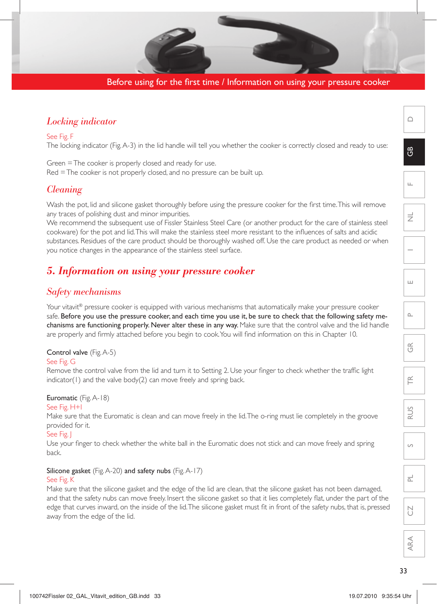## Before using for the first time / Information on using your pressure cooker

## *Locking indicator*

See Fig. F

The locking indicator (Fig. A-3) in the lid handle will tell you whether the cooker is correctly closed and ready to use:

Green = The cooker is properly closed and ready for use. Red = The cooker is not properly closed, and no pressure can be built up.

## *Cleaning*

Wash the pot, lid and silicone gasket thoroughly before using the pressure cooker for the first time. This will remove any traces of polishing dust and minor impurities.

We recommend the subsequent use of Fissler Stainless Steel Care (or another product for the care of stainless steel cookware) for the pot and lid. This will make the stainless steel more resistant to the influences of salts and acidic substances. Residues of the care product should be thoroughly washed off. Use the care product as needed or when you notice changes in the appearance of the stainless steel surface.

## *5. Information on using your pressure cooker*

## *Safety mechanisms*

Your vitavit® pressure cooker is equipped with various mechanisms that automatically make your pressure cooker safe. Before you use the pressure cooker, and each time you use it, be sure to check that the following safety mechanisms are functioning properly. Never alter these in any way. Make sure that the control valve and the lid handle are properly and firmly attached before you begin to cook. You will find information on this in Chapter 10.

#### Control valve (Fig. A-5)

#### See Fig. G

Remove the control valve from the lid and turn it to Setting 2. Use your finger to check whether the traffic light indicator(1) and the valve body(2) can move freely and spring back.

## Euromatic (Fig. A-18)

#### See Fig. H+I

Make sure that the Euromatic is clean and can move freely in the lid.The o-ring must lie completely in the groove provided for it.

#### See Fig. J

Use your finger to check whether the white ball in the Euromatic does not stick and can move freely and spring back.

#### Silicone gasket (Fig. A-20) and safety nubs (Fig. A-17)

#### See Fig. K

Make sure that the silicone gasket and the edge of the lid are clean, that the silicone gasket has not been damaged, and that the safety nubs can move freely. Insert the silicone gasket so that it lies completely flat, under the part of the edge that curves inward, on the inside of the lid. The silicone gasket must fit in front of the safety nubs, that is, pressed away from the edge of the lid.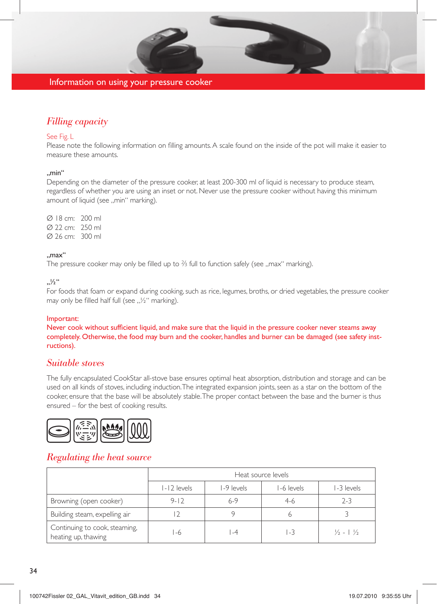

#### Information on using your pressure cooker

## *Filling capacity*

#### See Fig. L

Please note the following information on filling amounts. A scale found on the inside of the pot will make it easier to measure these amounts.

## ..min"

Depending on the diameter of the pressure cooker, at least 200-300 ml of liquid is necessary to produce steam, regardless of whether you are using an inset or not. Never use the pressure cooker without having this minimum amount of liquid (see ..min" marking).

Ø 18 cm: 200 ml Ø 22 cm: 250 ml Ø 26 cm: 300 ml

#### "max"

The pressure cooker may only be filled up to  $\frac{2}{3}$  full to function safely (see "max" marking).

 $\frac{1}{2}$ "

For foods that foam or expand during cooking, such as rice, legumes, broths, or dried vegetables, the pressure cooker may only be filled half full (see  $\frac{1}{2}$ " marking).

#### Important:

Never cook without sufficient liquid, and make sure that the liquid in the pressure cooker never steams away completely. Otherwise, the food may burn and the cooker, handles and burner can be damaged (see safety instructions).

## *Suitable stoves*

The fully encapsulated CookStar all-stove base ensures optimal heat absorption, distribution and storage and can be used on all kinds of stoves, including induction. The integrated expansion joints, seen as a star on the bottom of the cooker, ensure that the base will be absolutely stable. The proper contact between the base and the burner is thus ensured – for the best of cooking results.



## *Regulating the heat source*

|                                                      | Heat source levels |            |            |                                 |
|------------------------------------------------------|--------------------|------------|------------|---------------------------------|
|                                                      | $ - 2 $ levels     | I-9 levels | I-6 levels | 1-3 levels                      |
| Browning (open cooker)                               | $9 - 12$           | $6-9$      | 4-6        | $2 - 3$                         |
| Building steam, expelling air                        |                    |            |            |                                 |
| Continuing to cook, steaming,<br>heating up, thawing | -6                 | -4         | 1-3        | $\frac{1}{2}$ - 1 $\frac{1}{2}$ |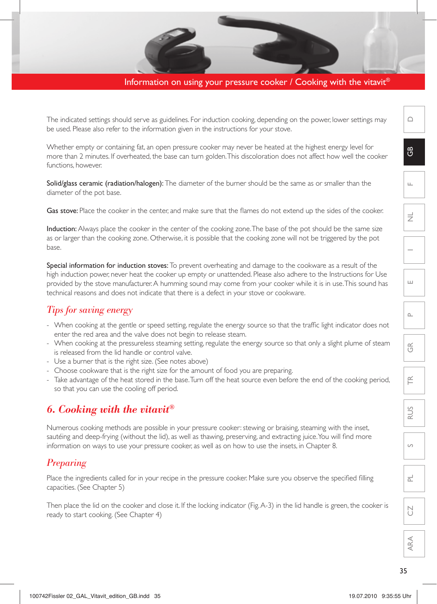## Information on using your pressure cooker / Cooking with the vitavit<sup>®</sup>

The indicated settings should serve as guidelines. For induction cooking, depending on the power, lower settings may be used. Please also refer to the information given in the instructions for your stove.

Whether empty or containing fat, an open pressure cooker may never be heated at the highest energy level for more than 2 minutes. If overheated, the base can turn golden. This discoloration does not affect how well the cooker functions, however.

Solid/glass ceramic (radiation/halogen): The diameter of the burner should be the same as or smaller than the diameter of the pot base.

Gas stove: Place the cooker in the center, and make sure that the flames do not extend up the sides of the cooker.

Induction: Always place the cooker in the center of the cooking zone. The base of the pot should be the same size as or larger than the cooking zone. Otherwise, it is possible that the cooking zone will not be triggered by the pot base.

Special information for induction stoves: To prevent overheating and damage to the cookware as a result of the high induction power, never heat the cooker up empty or unattended. Please also adhere to the Instructions for Use provided by the stove manufacturer. A humming sound may come from your cooker while it is in use. This sound has technical reasons and does not indicate that there is a defect in your stove or cookware.

## *Tips for saving energy*

- When cooking at the gentle or speed setting, regulate the energy source so that the traffic light indicator does not enter the red area and the valve does not begin to release steam.
- When cooking at the pressureless steaming setting, regulate the energy source so that only a slight plume of steam is released from the lid handle or control valve.
- Use a burner that is the right size. (See notes above)
- Choose cookware that is the right size for the amount of food you are preparing.
- Take advantage of the heat stored in the base. Turn off the heat source even before the end of the cooking period, so that you can use the cooling off period.

## *6. Cooking with the vitavit®*

Numerous cooking methods are possible in your pressure cooker: stewing or braising, steaming with the inset, sautéing and deep-frying (without the lid), as well as thawing, preserving, and extracting juice. You will find more information on ways to use your pressure cooker, as well as on how to use the insets, in Chapter 8.

## *Preparing*

Place the ingredients called for in your recipe in the pressure cooker. Make sure you observe the specified filling capacities. (See Chapter 5)

Then place the lid on the cooker and close it. If the locking indicator (Fig. A-3) in the lid handle is green, the cooker is ready to start cooking. (See Chapter 4)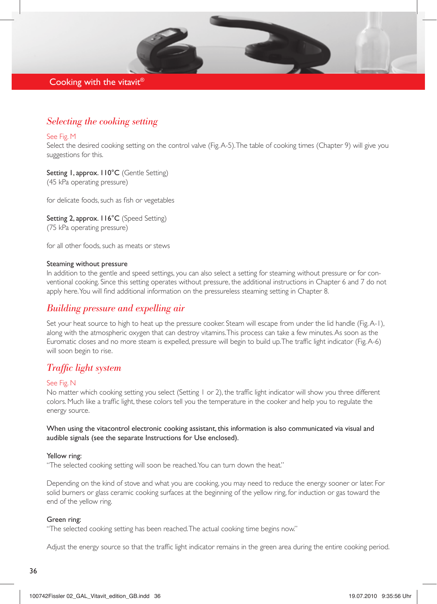## Cooking with the vitavit®

## *Selecting the cooking setting*

#### See Fig. M

Select the desired cooking setting on the control valve (Fig. A-5). The table of cooking times (Chapter 9) will give you suggestions for this.

Setting 1, approx. 110°C (Gentle Setting) (45 kPa operating pressure)

for delicate foods, such as fish or vegetables

Setting 2, approx. 116°C (Speed Setting) (75 kPa operating pressure)

for all other foods, such as meats or stews

#### Steaming without pressure

In addition to the gentle and speed settings, you can also select a setting for steaming without pressure or for conventional cooking. Since this setting operates without pressure, the additional instructions in Chapter 6 and 7 do not apply here. You will find additional information on the pressureless steaming setting in Chapter 8.

## *Building pressure and expelling air*

Set your heat source to high to heat up the pressure cooker. Steam will escape from under the lid handle (Fig. A-1), along with the atmospheric oxygen that can destroy vitamins. This process can take a few minutes. As soon as the Euromatic closes and no more steam is expelled, pressure will begin to build up.The traffic light indicator (Fig.A-6) will soon begin to rise.

## *Traffic light system*

#### See Fig. N

No matter which cooking setting you select (Setting 1 or 2), the traffic light indicator will show you three different colors. Much like a traffic light, these colors tell you the temperature in the cooker and help you to regulate the energy source.

When using the vitacontrol electronic cooking assistant, this information is also communicated via visual and audible signals (see the separate Instructions for Use enclosed).

#### Yellow ring:

"The selected cooking setting will soon be reached. You can turn down the heat."

Depending on the kind of stove and what you are cooking, you may need to reduce the energy sooner or later. For solid burners or glass ceramic cooking surfaces at the beginning of the yellow ring, for induction or gas toward the end of the yellow ring.

#### Green ring:

"The selected cooking setting has been reached. The actual cooking time begins now."

Adjust the energy source so that the traffic light indicator remains in the green area during the entire cooking period.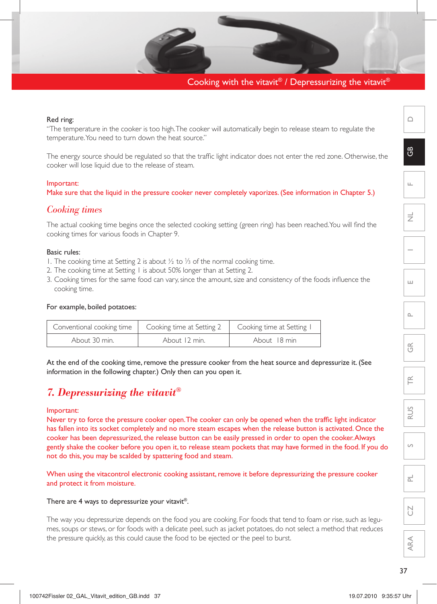## Cooking with the vitavit® / Depressurizing the vitavit®

#### Red ring:

"The temperature in the cooker is too high. The cooker will automatically begin to release steam to regulate the temperature. You need to turn down the heat source."

The energy source should be regulated so that the traffic light indicator does not enter the red zone. Otherwise, the cooker will lose liquid due to the release of steam.

#### Important:

Make sure that the liquid in the pressure cooker never completely vaporizes. (See information in Chapter 5.)

## *Cooking times*

The actual cooking time begins once the selected cooking setting (green ring) has been reached. You will find the cooking times for various foods in Chapter 9.

## Basic rules:

- 1. The cooking time at Setting 2 is about ½ to ⅓ of the normal cooking time.
- 2. The cooking time at Setting 1 is about 50% longer than at Setting 2.
- 3. Cooking times for the same food can vary, since the amount, size and consistency of the foods influence the cooking time.

#### For example, boiled potatoes:

| Conventional cooking time | Cooking time at Setting 2   Cooking time at Setting I |              |
|---------------------------|-------------------------------------------------------|--------------|
| About 30 min.             | About 12 min.                                         | About 18 min |

At the end of the cooking time, remove the pressure cooker from the heat source and depressurize it. (See information in the following chapter.) Only then can you open it.

## *7. Depressurizing the vitavit®*

#### Important:

Never try to force the pressure cooker open. The cooker can only be opened when the traffic light indicator has fallen into its socket completely and no more steam escapes when the release button is activated. Once the cooker has been depressurized, the release button can be easily pressed in order to open the cooker. Always gently shake the cooker before you open it, to release steam pockets that may have formed in the food. If you do not do this, you may be scalded by spattering food and steam.

When using the vitacontrol electronic cooking assistant, remove it before depressurizing the pressure cooker and protect it from moisture.

#### There are 4 ways to depressurize your vitavit®.

The way you depressurize depends on the food you are cooking. For foods that tend to foam or rise, such as legumes, soups or stews, or for foods with a delicate peel, such as jacket potatoes, do not select a method that reduces the pressure quickly, as this could cause the food to be ejected or the peel to burst.

 $\cap$ 

PL

CZ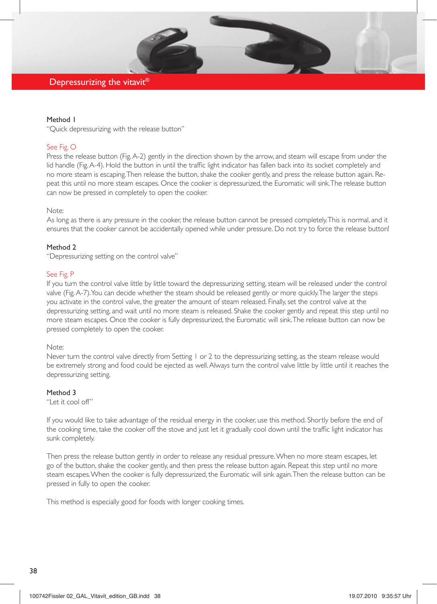## Depressurizing the vitavit<sup>®</sup>

#### Method 1

"Quick depressurizing with the release button"

#### See Fig. O

Press the release button (Fig. A-2) gently in the direction shown by the arrow, and steam will escape from under the lid handle (Fig. A-4). Hold the button in until the traffic light indicator has fallen back into its socket completely and no more steam is escaping.Then release the button, shake the cooker gently, and press the release button again. Repeat this until no more steam escapes. Once the cooker is depressurized, the Euromatic will sink.The release button can now be pressed in completely to open the cooker.

#### Note:

As long as there is any pressure in the cooker, the release button cannot be pressed completely. This is normal, and it ensures that the cooker cannot be accidentally opened while under pressure. Do not try to force the release button!

#### Method 2

"Depressurizing setting on the control valve"

#### See Fig. P

If you turn the control valve little by little toward the depressurizing setting, steam will be released under the control valve (Fig. A-7). You can decide whether the steam should be released gently or more quickly. The larger the steps you activate in the control valve, the greater the amount of steam released. Finally, set the control valve at the depressurizing setting, and wait until no more steam is released. Shake the cooker gently and repeat this step until no more steam escapes. Once the cooker is fully depressurized, the Euromatic will sink.The release button can now be pressed completely to open the cooker.

#### Note:

Never turn the control valve directly from Setting 1 or 2 to the depressurizing setting, as the steam release would be extremely strong and food could be ejected as well. Always turn the control valve little by little until it reaches the depressurizing setting.

#### Method 3

"Let it cool off"

If you would like to take advantage of the residual energy in the cooker, use this method. Shortly before the end of the cooking time, take the cooker off the stove and just let it gradually cool down until the traffic light indicator has sunk completely.

Then press the release button gently in order to release any residual pressure. When no more steam escapes, let go of the button, shake the cooker gently, and then press the release button again. Repeat this step until no more steam escapes.When the cooker is fully depressurized, the Euromatic will sink again.Then the release button can be pressed in fully to open the cooker.

This method is especially good for foods with longer cooking times.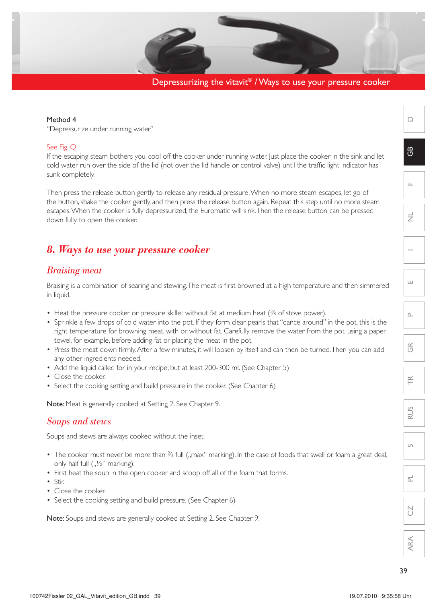Depressurizing the vitavit® / Ways to use your pressure cooker

#### Method 4

"Depressurize under running water"

## See Fig. Q

If the escaping steam bothers you, cool off the cooker under running water. Just place the cooker in the sink and let cold water run over the side of the lid (not over the lid handle or control valve) until the traffic light indicator has sunk completely.

Then press the release button gently to release any residual pressure. When no more steam escapes, let go of the button, shake the cooker gently, and then press the release button again. Repeat this step until no more steam escapes.When the cooker is fully depressurized, the Euromatic will sink.Then the release button can be pressed down fully to open the cooker.

## *8. Ways to use your pressure cooker*

## *Braising meat*

Braising is a combination of searing and stewing. The meat is first browned at a high temperature and then simmered in liquid.

- Heat the pressure cooker or pressure skillet without fat at medium heat (⅔ of stove power).
- Sprinkle a few drops of cold water into the pot. If they form clear pearls that "dance around" in the pot, this is the right temperature for browning meat, with or without fat. Carefully remove the water from the pot, using a paper towel, for example, before adding fat or placing the meat in the pot.
- • Press the meat down firmly.After a few minutes, it will loosen by itself and can then be turned.Then you can add any other ingredients needed.
- Add the liquid called for in your recipe, but at least 200-300 ml. (See Chapter 5)
- Close the cooker.
- Select the cooking setting and build pressure in the cooker. (See Chapter 6)

Note: Meat is generally cooked at Setting 2. See Chapter 9.

## *Soups and stews*

Soups and stews are always cooked without the inset.

- The cooker must never be more than ⅔ full ("max" marking). In the case of foods that swell or foam a great deal, only half full  $($ " $\frac{1}{2}$ " marking).
- First heat the soup in the open cooker and scoop off all of the foam that forms.
- Stir.
- Close the cooker.
- Select the cooking setting and build pressure. (See Chapter 6)

Note: Soups and stews are generally cooked at Setting 2. See Chapter 9.

 $\cap$ 

 $\mathfrak{g}$ 

F

NL

E

 $\sim$ 

 $\widetilde{\mathcal{F}}$ 

 $\widetilde{\mathbb{E}}$ 

RUS

 $\overline{S}$ 

 $\overline{\mathbb{L}}$ 

 $\sum_{i=1}^{n}$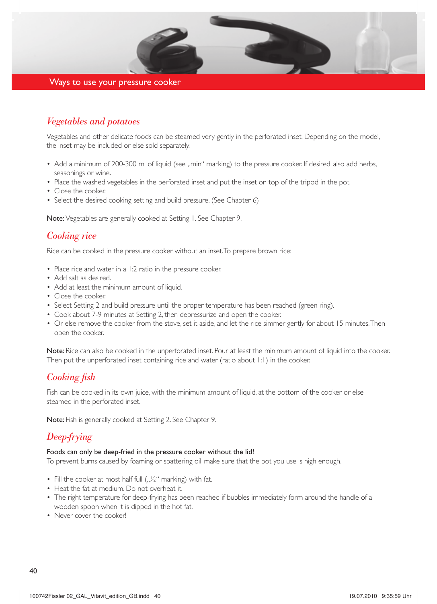

## Ways to use your pressure cooker

## *Vegetables and potatoes*

Vegetables and other delicate foods can be steamed very gently in the perforated inset. Depending on the model, the inset may be included or else sold separately.

- Add a minimum of 200-300 ml of liquid (see ..min" marking) to the pressure cooker. If desired, also add herbs, seasonings or wine.
- Place the washed vegetables in the perforated inset and put the inset on top of the tripod in the pot.
- Close the cooker.
- Select the desired cooking setting and build pressure. (See Chapter 6)

Note: Vegetables are generally cooked at Setting 1. See Chapter 9.

## *Cooking rice*

Rice can be cooked in the pressure cooker without an inset.To prepare brown rice:

- Place rice and water in a 1:2 ratio in the pressure cooker.
- Add salt as desired.
- Add at least the minimum amount of liquid.
- Close the cooker.
- Select Setting 2 and build pressure until the proper temperature has been reached (green ring).
- Cook about 7-9 minutes at Setting 2, then depressurize and open the cooker.
- Or else remove the cooker from the stove, set it aside, and let the rice simmer gently for about 15 minutes. Then open the cooker.

Note: Rice can also be cooked in the unperforated inset. Pour at least the minimum amount of liquid into the cooker. Then put the unperforated inset containing rice and water (ratio about 1:1) in the cooker.

## *Cooking fish*

Fish can be cooked in its own juice, with the minimum amount of liquid, at the bottom of the cooker or else steamed in the perforated inset.

Note: Fish is generally cooked at Setting 2. See Chapter 9.

## *Deep-frying*

#### Foods can only be deep-fried in the pressure cooker without the lid!

To prevent burns caused by foaming or spattering oil, make sure that the pot you use is high enough.

- Fill the cooker at most half full  $($ " $\frac{1}{2}$ " marking) with fat.
- Heat the fat at medium. Do not overheat it.
- The right temperature for deep-frying has been reached if bubbles immediately form around the handle of a wooden spoon when it is dipped in the hot fat.
- Never cover the cooker!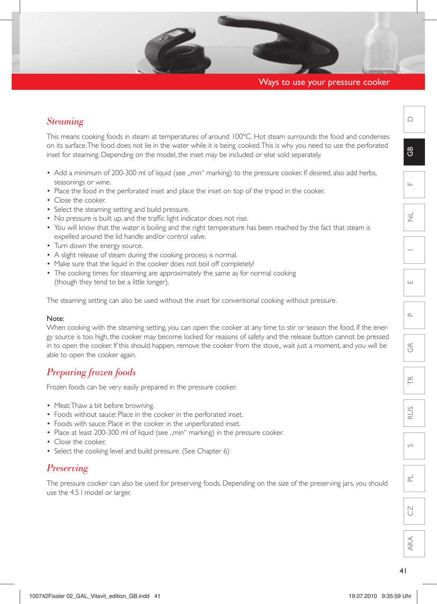## Ways to use your pressure cooker

## *Steaming*

This means cooking foods in steam at temperatures of around 100°C. Hot steam surrounds the food and condenses on its surface. The food does not lie in the water while it is being cooked. This is why you need to use the perforated inset for steaming. Depending on the model, the inset may be included or else sold separately.

- Add a minimum of 200-300 ml of liquid (see ..min" marking) to the pressure cooker. If desired, also add herbs, seasonings or wine.
- Place the food in the perforated inset and place the inset on top of the tripod in the cooker.
- Close the cooker.
- Select the steaming setting and build pressure.
- No pressure is built up, and the traffic light indicator does not rise.
- You will know that the water is boiling and the right temperature has been reached by the fact that steam is expelled around the lid handle and/or control valve.
- Turn down the energy source.
- A slight release of steam during the cooking process is normal.
- Make sure that the liquid in the cooker does not boil off completely!
- The cooking times for steaming are approximately the same as for normal cooking (though they tend to be a little longer).

The steaming setting can also be used without the inset for conventional cooking without pressure.

#### Note:

When cooking with the steaming setting, you can open the cooker at any time to stir or season the food. If the energy source is too high, the cooker may become locked for reasons of safety and the release button cannot be pressed in to open the cooker. If this should happen, remove the cooker from the stove,, wait just a moment, and you will be able to open the cooker again.

## *Preparing frozen foods*

Frozen foods can be very easily prepared in the pressure cooker.

- Meat: Thaw a bit before browning.
- Foods without sauce: Place in the cooker in the perforated inset.
- Foods with sauce: Place in the cooker in the unperforated inset.
- Place at least 200-300 ml of liquid (see ,,min" marking) in the pressure cooker.
- Close the cooker.
- Select the cooking level and build pressure. (See Chapter 6)

## *Preserving*

The pressure cooker can also be used for preserving foods. Depending on the size of the preserving jars, you should use the 4.5 l model or larger.

 $\cap$ 

 $\mathfrak{S}$ 

 $\cap$ 

 $\frac{\alpha}{\sqrt{2}}$ 

 $\widetilde{\mathbb{E}}$ 

RUS

 $\circ$ 

 $\overline{\mathbb{L}}$ 

**N**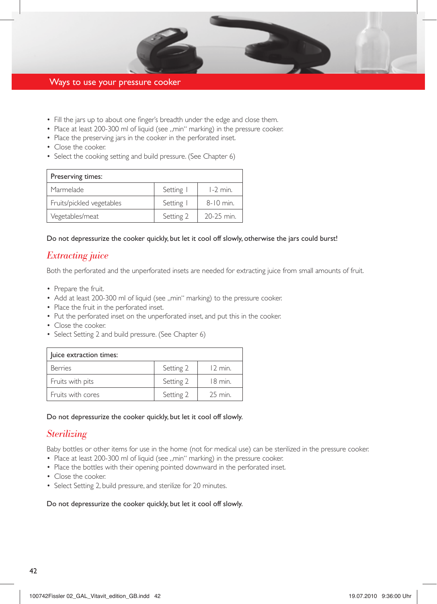

## Ways to use your pressure cooker

- Fill the jars up to about one finger's breadth under the edge and close them.
- Place at least 200-300 ml of liquid (see ..min" marking) in the pressure cooker.
- Place the preserving jars in the cooker in the perforated inset.
- Close the cooker.
- Select the cooking setting and build pressure. (See Chapter 6)

| Preserving times:         |           |             |  |
|---------------------------|-----------|-------------|--|
| Marmelade                 | Setting   | $1-2$ min.  |  |
| Fruits/pickled vegetables | Setting   | $8-10$ min. |  |
| Vegetables/meat           | Setting 2 | 20-25 min.  |  |

#### Do not depressurize the cooker quickly, but let it cool off slowly, otherwise the jars could burst!

## *Extracting juice*

Both the perforated and the unperforated insets are needed for extracting juice from small amounts of fruit.

- Prepare the fruit.
- Add at least 200-300 ml of liquid (see ,,min" marking) to the pressure cooker.
- Place the fruit in the perforated inset.
- Put the perforated inset on the unperforated inset, and put this in the cooker.
- Close the cooker.
- Select Setting 2 and build pressure. (See Chapter 6)

| luice extraction times: |           |                  |  |
|-------------------------|-----------|------------------|--|
| <b>Berries</b>          | Setting 2 | $12 \text{ min}$ |  |
| Fruits with pits        | Setting 2 | $18 \text{ min}$ |  |
| Fruits with cores       | Setting 2 | 25 min.          |  |

#### Do not depressurize the cooker quickly, but let it cool off slowly.

## *Sterilizing*

Baby bottles or other items for use in the home (not for medical use) can be sterilized in the pressure cooker.

- Place at least 200-300 ml of liquid (see ..min" marking) in the pressure cooker.
- Place the bottles with their opening pointed downward in the perforated inset.
- Close the cooker.
- Select Setting 2, build pressure, and sterilize for 20 minutes.

#### Do not depressurize the cooker quickly, but let it cool off slowly.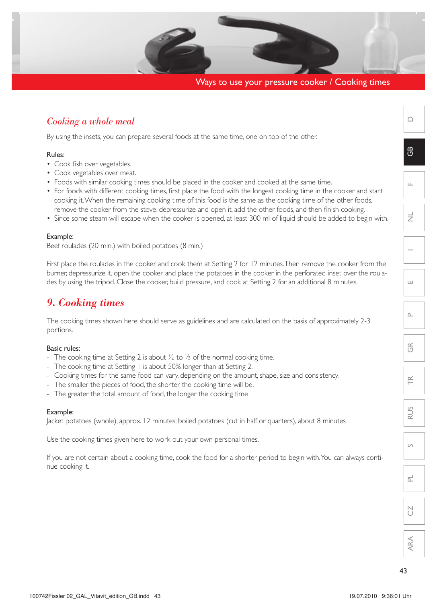## Ways to use your pressure cooker / Cooking times

## *Cooking a whole meal*

By using the insets, you can prepare several foods at the same time, one on top of the other.

#### Rules:

- Cook fish over vegetables.
- Cook vegetables over meat.
- Foods with similar cooking times should be placed in the cooker and cooked at the same time.
- • For foods with different cooking times, first place the food with the longest cooking time in the cooker and start cooking it. When the remaining cooking time of this food is the same as the cooking time of the other foods, remove the cooker from the stove, depressurize and open it, add the other foods, and then finish cooking.
- • Since some steam will escape when the cooker is opened, at least 300 ml of liquid should be added to begin with.

#### Example:

Beef roulades (20 min.) with boiled potatoes (8 min.)

First place the roulades in the cooker and cook them at Setting 2 for 12 minutes. Then remove the cooker from the burner, depressurize it, open the cooker, and place the potatoes in the cooker in the perforated inset over the roulades by using the tripod. Close the cooker, build pressure, and cook at Setting 2 for an additional 8 minutes.

## *9. Cooking times*

The cooking times shown here should serve as guidelines and are calculated on the basis of approximately 2-3 portions.

#### Basic rules:

- The cooking time at Setting 2 is about ½ to ⅓ of the normal cooking time.
- The cooking time at Setting I is about 50% longer than at Setting 2.
- Cooking times for the same food can vary, depending on the amount, shape, size and consistency.
- The smaller the pieces of food, the shorter the cooking time will be.
- The greater the total amount of food, the longer the cooking time

#### Example:

Jacket potatoes (whole), approx. 12 minutes; boiled potatoes (cut in half or quarters), about 8 minutes

Use the cooking times given here to work out your own personal times.

If you are not certain about a cooking time, cook the food for a shorter period to begin with. You can always continue cooking it.

 $\cap$ 

 $\mathfrak{g}$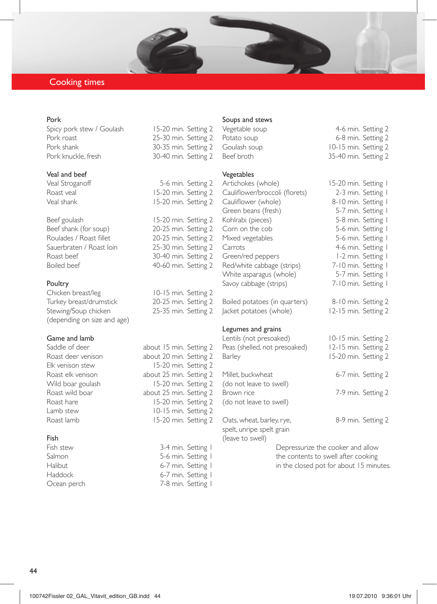## Cooking times

#### Pork

Spicy pork stew / Goulash 15-20 min. Setting 2 Pork roast 25-30 min. Setting 2 Pork shank 30-35 min. Setting 2

# Veal and beef<br>Veal Stroganoff

Beef goulash 15-20 min. Setting 2 Beef shank (for soup) 20-25 min. Setting 2 Roulades / Roast fillet 20-25 min. Setting 2 Sauerbraten / Roast loin 25-30 min. Setting 2<br>
Roast beef 30-40 min. Setting 2 Roast beef 30-40 min. Setting 2<br>Boiled beef 30-60 min. Setting 2

#### Poultry

Chicken breast/leg 10-15 min. Setting 2 Turkey breast/drumstick 20-25 min. Setting 2 Stewing/Soup chicken 25-35 min. Setting 2 (depending on size and age)

# **Game and lamb**<br>Saddle of deen

#### Fish

# 30-40 min. Setting 2

5-6 min. Setting 2 Roast veal 15-20 min. Setting 2<br>Veal shank 15-20 min. Setting 2 15-20 min. Setting 2 40-60 min. Setting 2

about 15 min. Setting 2 Roast deer venison about 20 min. Setting 2 Elk venison stew 15-20 min. Setting 2 Roast elk venison about 25 min. Setting 2 Wild boar goulash 15-20 min. Setting 2 Roast wild boar about 25 min. Setting 2 Roast hare 15-20 min. Setting 2 Lamb stew 10-15 min. Setting 2 Roast lamb 15-20 min. Setting 2

Fish stew 3-4 min. Setting 1 Salmon 5-6 min. Setting I Halibut 6-7 min. Setting I Haddock 6-7 min. Setting 1 Ocean perch 7-8 min. Setting 1

#### Soups and stews

Vegetable soup 4-6 min. Setting 2 Potato soup 6-8 min. Setting 2 Goulash soup 10-15 min. Setting 2 Beef broth 35-40 min. Setting 2

#### Vegetables

Artichokes (whole) 15-20 min. Setting 1 Cauliflower/broccoli (florets) 2-3 min. Setting 1 Cauliflower (whole) 8-10 min. Setting 1 Green beans (fresh) 5-7 min. Setting I Kohlrabi (pieces) 5-8 min. Setting I Corn on the cob 5-6 min. Setting I Mixed vegetables 5-6 min. Setting 1 Carrots 4-6 min. Setting 1 Green/red peppers 1-2 min. Setting 1 Red/white cabbage (strips) 7-10 min. Setting 1 White asparagus (whole) 5-7 min. Setting 1 Savoy cabbage (strips) 7-10 min. Setting 1

Boiled potatoes (in quarters) 8-10 min. Setting 2 Jacket potatoes (whole) 12-15 min. Setting 2

#### Legumes and grains

Lentils (not presoaked) 10-15 min. Setting 2 Peas (shelled, not presoaked) 12-15 min. Setting 2 Barley 15-20 min. Setting 2 Millet, buckwheat 6-7 min. Setting 2 (do not leave to swell) 7-9 min. Setting 2 (do not leave to swell) Oats, wheat, barley, rye, 8-9 min. Setting 2 spelt, unripe spelt grain (leave to swell)

> Depressurize the cooker and allow the contents to swell after cooking in the closed pot for about 15 minutes.

|                                   | $35 - 4$                                       |
|-----------------------------------|------------------------------------------------|
| э)<br>oli (florets)<br>le)<br>;h) | $15-2$<br>$2 -$<br>$8 - 1$<br>$5-$<br>5-<br>5. |

44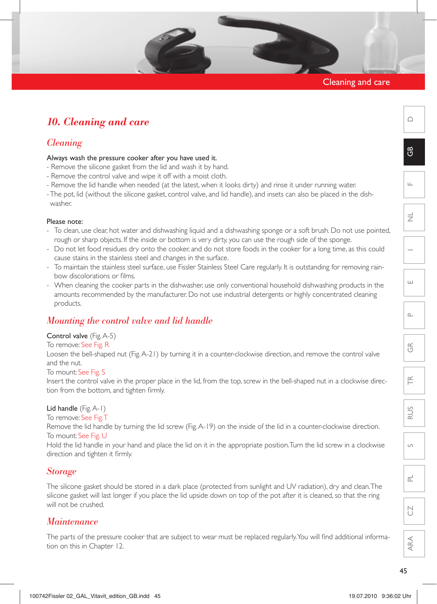## Cleaning and care

## *10. Cleaning and care*

## *Cleaning*

#### Always wash the pressure cooker after you have used it.

- Remove the silicone gasket from the lid and wash it by hand.
- Remove the control valve and wipe it off with a moist cloth.
- Remove the lid handle when needed (at the latest, when it looks dirty) and rinse it under running water.
- The pot, lid (without the silicone gasket, control valve, and lid handle), and insets can also be placed in the dishwasher.

#### Please note:

- To clean, use clear, hot water and dishwashing liquid and a dishwashing sponge or a soft brush. Do not use pointed, rough or sharp objects. If the inside or bottom is very dirty, you can use the rough side of the sponge.
- Do not let food residues dry onto the cooker, and do not store foods in the cooker for a long time, as this could cause stains in the stainless steel and changes in the surface.
- To maintain the stainless steel surface, use Fissler Stainless Steel Care regularly. It is outstanding for removing rainbow discolorations or films.
- When cleaning the cooker parts in the dishwasher, use only conventional household dishwashing products in the amounts recommended by the manufacturer. Do not use industrial detergents or highly concentrated cleaning products.

## *Mounting the control valve and lid handle*

#### Control valve (Fig. A-5)

#### To remove: See Fig. R

Loosen the bell-shaped nut (Fig. A-21) by turning it in a counter-clockwise direction, and remove the control valve and the nut.

#### To mount: See Fig. S

Insert the control valve in the proper place in the lid, from the top, screw in the bell-shaped nut in a clockwise direction from the bottom, and tighten firmly.

#### Lid handle (Fig. A-1)

To remove: See Fig. T

Remove the lid handle by turning the lid screw (Fig.A-19) on the inside of the lid in a counter-clockwise direction. To mount: See Fig. U

Hold the lid handle in your hand and place the lid on it in the appropriate position. Turn the lid screw in a clockwise direction and tighten it firmly.

## *Storage*

The silicone gasket should be stored in a dark place (protected from sunlight and UV radiation), dry and clean.The silicone gasket will last longer if you place the lid upside down on top of the pot after it is cleaned, so that the ring will not be crushed.

## *Maintenance*

The parts of the pressure cooker that are subject to wear must be replaced regularly. You will find additional information on this in Chapter 12.

 $\bigcap$ 

 $\mathfrak{g}$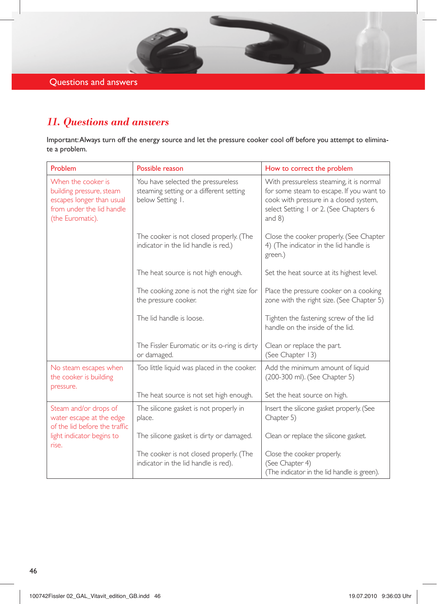Questions and answers

## *11. Questions and answers*

Important: Always turn off the energy source and let the pressure cooker cool off before you attempt to eliminate a problem.

| Problem                                                                                                                      | Possible reason                                                                                   | How to correct the problem                                                                                                                                                           |
|------------------------------------------------------------------------------------------------------------------------------|---------------------------------------------------------------------------------------------------|--------------------------------------------------------------------------------------------------------------------------------------------------------------------------------------|
| When the cooker is<br>building pressure, steam<br>escapes longer than usual<br>from under the lid handle<br>(the Euromatic). | You have selected the pressureless<br>steaming setting or a different setting<br>below Setting I. | With pressureless steaming, it is normal<br>for some steam to escape. If you want to<br>cook with pressure in a closed system,<br>select Setting I or 2. (See Chapters 6<br>and $8)$ |
|                                                                                                                              | The cooker is not closed properly. (The<br>indicator in the lid handle is red.)                   | Close the cooker properly. (See Chapter<br>4) (The indicator in the lid handle is<br>green.)                                                                                         |
|                                                                                                                              | The heat source is not high enough.                                                               | Set the heat source at its highest level.                                                                                                                                            |
|                                                                                                                              | The cooking zone is not the right size for<br>the pressure cooker.                                | Place the pressure cooker on a cooking<br>zone with the right size. (See Chapter 5)                                                                                                  |
|                                                                                                                              | The lid handle is loose.                                                                          | Tighten the fastening screw of the lid<br>handle on the inside of the lid.                                                                                                           |
|                                                                                                                              | The Fissler Euromatic or its o-ring is dirty<br>or damaged.                                       | Clean or replace the part.<br>(See Chapter 13)                                                                                                                                       |
| No steam escapes when<br>the cooker is building<br>pressure.                                                                 | Too little liquid was placed in the cooker.                                                       | Add the minimum amount of liquid<br>(200-300 ml). (See Chapter 5)                                                                                                                    |
|                                                                                                                              | The heat source is not set high enough.                                                           | Set the heat source on high.                                                                                                                                                         |
| Steam and/or drops of<br>water escape at the edge<br>of the lid before the traffic                                           | The silicone gasket is not properly in<br>place.                                                  | Insert the silicone gasket properly. (See<br>Chapter 5)                                                                                                                              |
| light indicator begins to<br>rise.                                                                                           | The silicone gasket is dirty or damaged.                                                          | Clean or replace the silicone gasket.                                                                                                                                                |
|                                                                                                                              | The cooker is not closed properly. (The<br>indicator in the lid handle is red).                   | Close the cooker properly.<br>(See Chapter 4)<br>(The indicator in the lid handle is green).                                                                                         |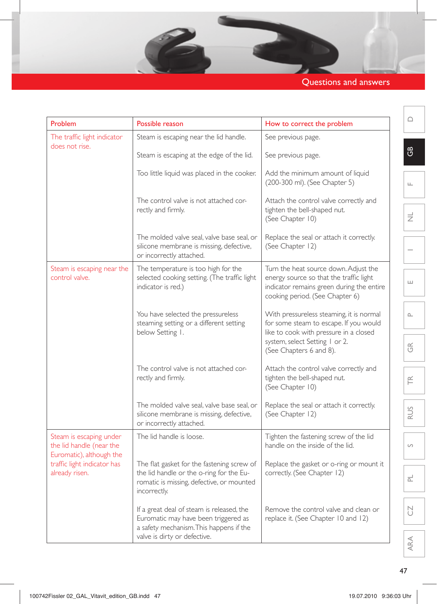## Questions and answers

- 10 s

| Problem                                                                                                                          | Possible reason                                                                                                                                                                                              | How to correct the problem                                                                                                                                       | △                        |
|----------------------------------------------------------------------------------------------------------------------------------|--------------------------------------------------------------------------------------------------------------------------------------------------------------------------------------------------------------|------------------------------------------------------------------------------------------------------------------------------------------------------------------|--------------------------|
| The traffic light indicator<br>does not rise.                                                                                    | Steam is escaping near the lid handle.                                                                                                                                                                       | See previous page.                                                                                                                                               |                          |
|                                                                                                                                  | Steam is escaping at the edge of the lid.                                                                                                                                                                    | See previous page.                                                                                                                                               | සී                       |
|                                                                                                                                  | Too little liquid was placed in the cooker.                                                                                                                                                                  | Add the minimum amount of liquid<br>(200-300 ml). (See Chapter 5)                                                                                                | Щ                        |
|                                                                                                                                  | The control valve is not attached cor-<br>rectly and firmly.                                                                                                                                                 | Attach the control valve correctly and<br>tighten the bell-shaped nut.<br>(See Chapter 10)                                                                       | $\overline{z}$           |
|                                                                                                                                  | The molded valve seal, valve base seal, or<br>silicone membrane is missing, defective,<br>or incorrectly attached.                                                                                           | Replace the seal or attach it correctly.<br>(See Chapter 12)                                                                                                     |                          |
| Steam is escaping near the<br>control valve.                                                                                     | The temperature is too high for the<br>selected cooking setting. (The traffic light<br>indicator is red.)                                                                                                    | Turn the heat source down. Adjust the<br>energy source so that the traffic light<br>indicator remains green during the entire<br>cooking period. (See Chapter 6) | ш                        |
|                                                                                                                                  | You have selected the pressureless<br>steaming setting or a different setting<br>below Setting I.                                                                                                            | With pressureless steaming, it is normal<br>for some steam to escape. If you would<br>like to cook with pressure in a closed                                     | $\square$                |
|                                                                                                                                  |                                                                                                                                                                                                              | system, select Setting 1 or 2.<br>(See Chapters 6 and 8).                                                                                                        | $\widetilde{\mathbb{G}}$ |
|                                                                                                                                  | The control valve is not attached cor-<br>rectly and firmly.                                                                                                                                                 | Attach the control valve correctly and<br>tighten the bell-shaped nut.<br>(See Chapter 10)                                                                       | $\widetilde{\mathsf{H}}$ |
|                                                                                                                                  | The molded valve seal, valve base seal, or<br>silicone membrane is missing, defective,<br>or incorrectly attached.                                                                                           | Replace the seal or attach it correctly.<br>(See Chapter 12)                                                                                                     | RUS                      |
| Steam is escaping under<br>the lid handle (near the<br>Euromatic), although the<br>traffic light indicator has<br>already risen. | The lid handle is loose.                                                                                                                                                                                     | Tighten the fastening screw of the lid<br>handle on the inside of the lid.                                                                                       | $\circ$                  |
|                                                                                                                                  | The flat gasket for the fastening screw of                                                                                                                                                                   | Replace the gasket or o-ring or mount it                                                                                                                         |                          |
|                                                                                                                                  | the lid handle or the o-ring for the Eu-<br>romatic is missing, defective, or mounted<br>incorrectly.                                                                                                        | correctly. (See Chapter 12)                                                                                                                                      | $\overline{\simeq}$      |
|                                                                                                                                  | If a great deal of steam is released, the<br>Remove the control valve and clean or<br>Euromatic may have been triggered as<br>replace it. (See Chapter 10 and 12)<br>a safety mechanism. This happens if the |                                                                                                                                                                  | N                        |
|                                                                                                                                  | valve is dirty or defective.                                                                                                                                                                                 |                                                                                                                                                                  | ARA                      |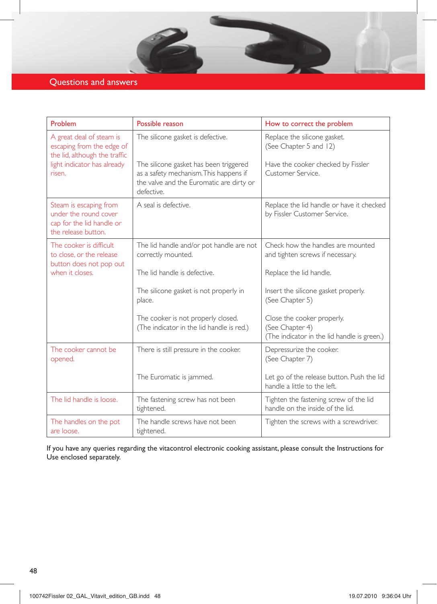## Questions and answers

| Problem                                                                                             | Possible reason                                                                                                                            | How to correct the problem                                                                   |
|-----------------------------------------------------------------------------------------------------|--------------------------------------------------------------------------------------------------------------------------------------------|----------------------------------------------------------------------------------------------|
| A great deal of steam is<br>escaping from the edge of<br>the lid, although the traffic              | The silicone gasket is defective.                                                                                                          | Replace the silicone gasket.<br>(See Chapter 5 and 12)                                       |
| light indicator has already<br>risen.                                                               | The silicone gasket has been triggered<br>as a safety mechanism. This happens if<br>the valve and the Euromatic are dirty or<br>defective. | Have the cooker checked by Fissler<br>Customer Service.                                      |
| Steam is escaping from<br>under the round cover<br>cap for the lid handle or<br>the release button. | A seal is defective.                                                                                                                       | Replace the lid handle or have it checked<br>by Fissler Customer Service.                    |
| The cooker is difficult<br>to close, or the release<br>button does not pop out                      | The lid handle and/or pot handle are not<br>correctly mounted.                                                                             | Check how the handles are mounted<br>and tighten screws if necessary.                        |
| when it closes.                                                                                     | The lid handle is defective.                                                                                                               | Replace the lid handle.                                                                      |
|                                                                                                     | The silicone gasket is not properly in<br>place.                                                                                           | Insert the silicone gasket properly.<br>(See Chapter 5)                                      |
|                                                                                                     | The cooker is not properly closed.<br>(The indicator in the lid handle is red.)                                                            | Close the cooker properly.<br>(See Chapter 4)<br>(The indicator in the lid handle is green.) |
| The cooker cannot be<br>opened.                                                                     | There is still pressure in the cooker.                                                                                                     | Depressurize the cooker.<br>(See Chapter 7)                                                  |
|                                                                                                     | The Euromatic is jammed.                                                                                                                   | Let go of the release button. Push the lid<br>handle a little to the left.                   |
| The lid handle is loose.                                                                            | The fastening screw has not been<br>tightened.                                                                                             | Tighten the fastening screw of the lid<br>handle on the inside of the lid.                   |
| The handles on the pot<br>are loose.                                                                | The handle screws have not been<br>tightened.                                                                                              | Tighten the screws with a screwdriver.                                                       |

If you have any queries regarding the vitacontrol electronic cooking assistant, please consult the Instructions for Use enclosed separately.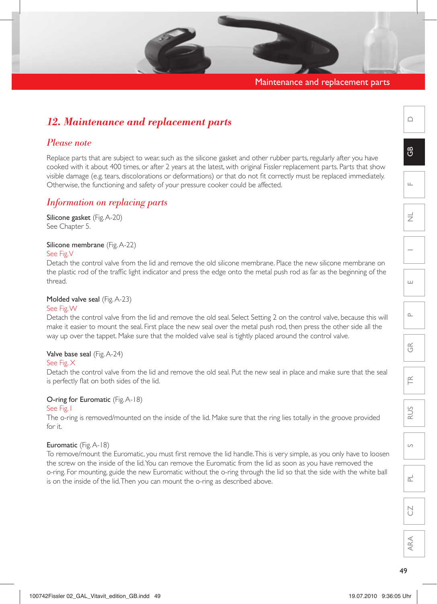## Maintenance and replacement parts

# $\cap$

 $\mathfrak{g}$ 

F

 $\Rightarrow$ 

E

 $\cap$ 

 $\frac{\alpha}{\sqrt{2}}$ 

 $\widetilde{\equiv}$ 

RUS

 $\overline{S}$ 

PL

 $\sum_{i=1}^{n}$ 

ARA

## O-ring for Euromatic (Fig. A-18) See Fig. I

Euromatic (Fig. A-18)

To remove/mount the Euromatic, you must first remove the lid handle.This is very simple, as you only have to loosen the screw on the inside of the lid.You can remove the Euromatic from the lid as soon as you have removed the o-ring. For mounting, guide the new Euromatic without the o-ring through the lid so that the side with the white ball is on the inside of the lid. Then you can mount the o-ring as described above.

The o-ring is removed/mounted on the inside of the lid. Make sure that the ring lies totally in the groove provided for it.

Replace parts that are subject to wear, such as the silicone gasket and other rubber parts, regularly after you have cooked with it about 400 times, or after 2 years at the latest, with original Fissler replacement parts. Parts that show visible damage (e.g. tears, discolorations or deformations) or that do not fit correctly must be replaced immediately. Otherwise, the functioning and safety of your pressure cooker could be affected.

## *Information on replacing parts*

*12. Maintenance and replacement parts*

Silicone gasket (Fig. A-20) See Chapter 5.

*Please note*

## Silicone membrane (Fig. A-22)

## See Fig. V

Detach the control valve from the lid and remove the old silicone membrane. Place the new silicone membrane on the plastic rod of the traffic light indicator and press the edge onto the metal push rod as far as the beginning of the thread.

## Molded valve seal (Fig. A-23)

## See Fig. W

Detach the control valve from the lid and remove the old seal. Select Setting 2 on the control valve, because this will make it easier to mount the seal. First place the new seal over the metal push rod, then press the other side all the way up over the tappet. Make sure that the molded valve seal is tightly placed around the control valve.

## Valve base seal (Fig. A-24)

## See Fig. X

Detach the control valve from the lid and remove the old seal. Put the new seal in place and make sure that the seal is perfectly flat on both sides of the lid.

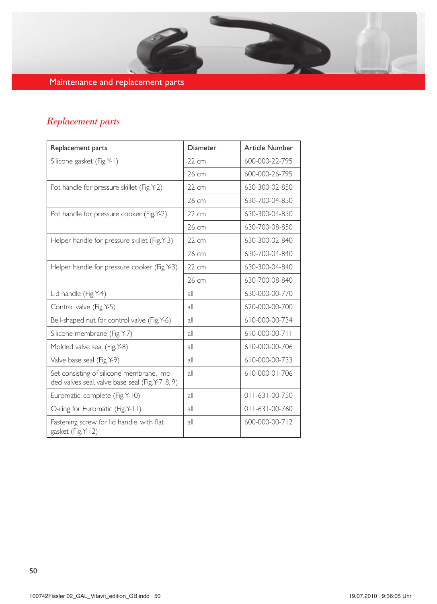## Maintenance and replacement parts

## *Replacement parts*

| Replacement parts                                                                             | Diameter        | <b>Article Number</b>  |
|-----------------------------------------------------------------------------------------------|-----------------|------------------------|
| Silicone gasket (Fig.Y-1)                                                                     | $22 \text{ cm}$ | 600-000-22-795         |
|                                                                                               | 26 cm           | 600-000-26-795         |
| Pot handle for pressure skillet (Fig. Y-2)                                                    | 22 cm           | 630-300-02-850         |
|                                                                                               | 26 cm           | 630-700-04-850         |
| Pot handle for pressure cooker (Fig. Y-2)                                                     | $22 \text{ cm}$ | 630-300-04-850         |
|                                                                                               | 26 cm           | 630-700-08-850         |
| Helper handle for pressure skillet (Fig.Y-3)                                                  | $22 \text{ cm}$ | 630-300-02-840         |
|                                                                                               | 26 cm           | 630-700-04-840         |
| Helper handle for pressure cooker (Fig.Y-3)                                                   | 22 cm           | 630-300-04-840         |
|                                                                                               | 26 cm           | 630-700-08-840         |
| Lid handle (Fig.Y-4)                                                                          | all             | 630-000-00-770         |
| Control valve (Fig. Y-5)                                                                      | all             | 620-000-00-700         |
| Bell-shaped nut for control valve (Fig.Y-6)                                                   | all             | 610-000-00-734         |
| Silicone membrane (Fig. Y-7)                                                                  | all             | 610-000-00-711         |
| Molded valve seal (Fig. Y-8)                                                                  | all             | 610-000-00-706         |
| Valve base seal (Fig. Y-9)                                                                    | all             | 610-000-00-733         |
| Set consisting of silicone membrane, mol-<br>ded valves seal, valve base seal (Fig.Y-7, 8, 9) | all             | 610-000-01-706         |
| Euromatic, complete (Fig. Y-10)                                                               | all             | $011 - 631 - 00 - 750$ |
| O-ring for Euromatic (Fig.Y-11)                                                               | all             | $011 - 631 - 00 - 760$ |
| Fastening screw for lid handle, with flat<br>gasket (Fig. Y-12)                               | all             | 600-000-00-712         |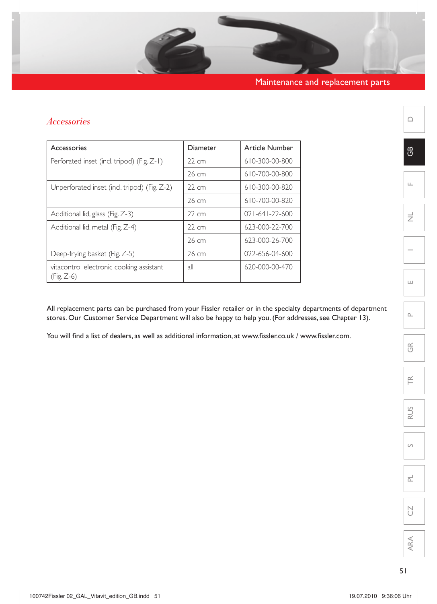## *Accessories*

| Accessories                                              | Diameter          | <b>Article Number</b>  |
|----------------------------------------------------------|-------------------|------------------------|
| Perforated inset (incl. tripod) (Fig. Z-1)               | 22 cm             | 610-300-00-800         |
|                                                          | 26 cm             | 610-700-00-800         |
| Unperforated inset (incl. tripod) (Fig. Z-2)             | $22 \, \text{cm}$ | 610-300-00-820         |
|                                                          | 26 cm             | 610-700-00-820         |
| Additional lid, glass (Fig. Z-3)                         | $22 \, \text{cm}$ | $021 - 641 - 22 - 600$ |
| Additional lid, metal (Fig. Z-4)                         | $22 \text{ cm}$   | 623-000-22-700         |
|                                                          | 26 cm             | 623-000-26-700         |
| Deep-frying basket (Fig. Z-5)                            | 26 cm             | 022-656-04-600         |
| vitacontrol electronic cooking assistant<br>$(Fig. Z-6)$ | all               | 620-000-00-470         |

All replacement parts can be purchased from your Fissler retailer or in the specialty departments of department stores. Our Customer Service Department will also be happy to help you. (For addresses, see Chapter 13).

You will find a list of dealers, as well as additional information, at www.fissler.co.uk / www.fissler.com.

 $\triangle$ 

GB

 $\mathbf{r}$ 

 $\equiv$ 





 $\widetilde{\mathsf{F}}$ 

RUS

 $\circ$ 

 $\overline{\mathbb{L}}$ 

CZ